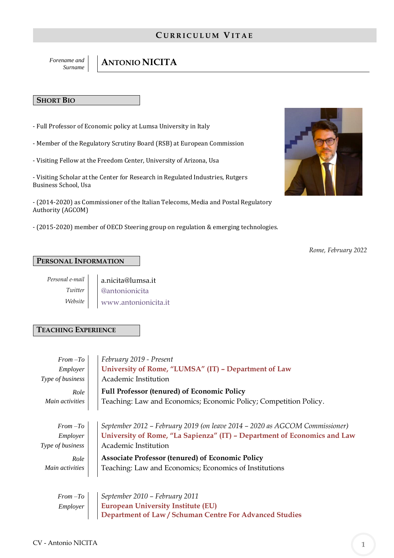# **C U R R I C U L U M VI T A E**

*Forename and* 

# *Surname*  $\left| \begin{array}{c} \end{array} \right|$  **ANTONIO NICITA**

## **SHORT BIO**

- Full Professor of Economic policy at Lumsa University in Italy
- Member of the Regulatory Scrutiny Board (RSB) at European Commission
- Visiting Fellow at the Freedom Center, University of Arizona, Usa

- Visiting Scholar at the Center for Research in Regulated Industries, Rutgers Business School, Usa

- (2014-2020) as Commissioner of the Italian Telecoms, Media and Postal Regulatory Authority (AGCOM)

- (2015-2020) member of OECD Steering group on regulation & emerging technologies.



 *Rome, February 2022*

## **PERSONAL INFORMATION**

*Personal e-mail Twitter Website*

a.nicita@lumsa.it [@antonionicita](https://twitter.com/AntonioNicita) [www.antonionicita.it](http://www.antonionicita.it/)

## **TEACHING EXPERIENCE**

| $From -To$       | February 2019 - Present                                                     |
|------------------|-----------------------------------------------------------------------------|
| Employer         | University of Rome, "LUMSA" (IT) - Department of Law                        |
| Type of business | Academic Institution                                                        |
| Role             | <b>Full Professor (tenured) of Economic Policy</b>                          |
| Main activities  | Teaching: Law and Economics; Economic Policy; Competition Policy.           |
|                  |                                                                             |
| $From -To$       | September 2012 – February 2019 (on leave 2014 – 2020 as AGCOM Commissioner) |
| Employer         | University of Rome, "La Sapienza" (IT) - Department of Economics and Law    |
| Type of business | Academic Institution                                                        |
| Role             | <b>Associate Professor (tenured) of Economic Policy</b>                     |
| Main activities  | Teaching: Law and Economics; Economics of Institutions                      |
|                  |                                                                             |

|  | From $-To$ September 2010 – February 2011                      |
|--|----------------------------------------------------------------|
|  | Employer     European University Institute (EU)                |
|  | <b>Department of Law / Schuman Centre For Advanced Studies</b> |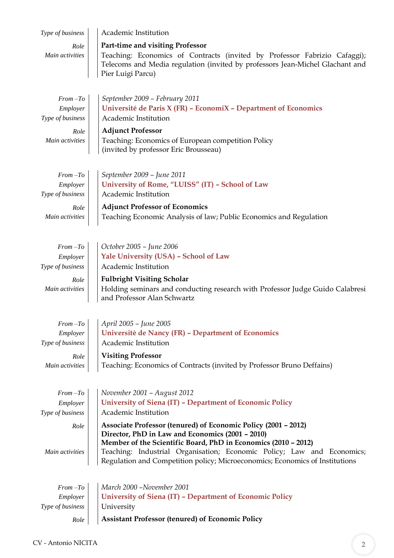| Type of business             | Academic Institution                                                                                                                                                                 |  |  |  |  |  |  |
|------------------------------|--------------------------------------------------------------------------------------------------------------------------------------------------------------------------------------|--|--|--|--|--|--|
| Role                         | Part-time and visiting Professor                                                                                                                                                     |  |  |  |  |  |  |
| Main activities              | Teaching: Economics of Contracts (invited by Professor Fabrizio Cafaggi);<br>Telecoms and Media regulation (invited by professors Jean-Michel Glachant and<br>Pier Luigi Parcu)      |  |  |  |  |  |  |
|                              |                                                                                                                                                                                      |  |  |  |  |  |  |
| $From -To$                   | September 2009 - February 2011                                                                                                                                                       |  |  |  |  |  |  |
| Employer                     | Université de Paris X (FR) - EconomiX - Department of Economics                                                                                                                      |  |  |  |  |  |  |
| Type of business             | Academic Institution                                                                                                                                                                 |  |  |  |  |  |  |
| Role                         | <b>Adjunct Professor</b>                                                                                                                                                             |  |  |  |  |  |  |
| Main activities              | Teaching: Economics of European competition Policy<br>(invited by professor Eric Brousseau)                                                                                          |  |  |  |  |  |  |
|                              |                                                                                                                                                                                      |  |  |  |  |  |  |
| $From -To$                   | September 2009 - June 2011                                                                                                                                                           |  |  |  |  |  |  |
| Employer<br>Type of business | University of Rome, "LUISS" (IT) - School of Law<br>Academic Institution                                                                                                             |  |  |  |  |  |  |
| Role                         | <b>Adjunct Professor of Economics</b>                                                                                                                                                |  |  |  |  |  |  |
| Main activities              | Teaching Economic Analysis of law; Public Economics and Regulation                                                                                                                   |  |  |  |  |  |  |
|                              |                                                                                                                                                                                      |  |  |  |  |  |  |
|                              |                                                                                                                                                                                      |  |  |  |  |  |  |
| $From -To$                   | October 2005 - June 2006                                                                                                                                                             |  |  |  |  |  |  |
| Employer<br>Type of business | Yale University (USA) - School of Law<br>Academic Institution                                                                                                                        |  |  |  |  |  |  |
|                              |                                                                                                                                                                                      |  |  |  |  |  |  |
| Role<br>Main activities      | <b>Fulbright Visiting Scholar</b><br>Holding seminars and conducting research with Professor Judge Guido Calabresi<br>and Professor Alan Schwartz                                    |  |  |  |  |  |  |
|                              |                                                                                                                                                                                      |  |  |  |  |  |  |
| $From -To$                   | April 2005 - June 2005                                                                                                                                                               |  |  |  |  |  |  |
| Employer                     | Universitè de Nancy (FR) - Department of Economics                                                                                                                                   |  |  |  |  |  |  |
| Type of business             | Academic Institution                                                                                                                                                                 |  |  |  |  |  |  |
| Role                         | <b>Visiting Professor</b>                                                                                                                                                            |  |  |  |  |  |  |
| Main activities              | Teaching: Economics of Contracts (invited by Professor Bruno Deffains)                                                                                                               |  |  |  |  |  |  |
|                              |                                                                                                                                                                                      |  |  |  |  |  |  |
| $From -To$                   | November 2001 – August 2012                                                                                                                                                          |  |  |  |  |  |  |
| Employer                     | University of Siena (IT) - Department of Economic Policy                                                                                                                             |  |  |  |  |  |  |
| Type of business             | Academic Institution                                                                                                                                                                 |  |  |  |  |  |  |
| Role                         | Associate Professor (tenured) of Economic Policy (2001 - 2012)<br>Director, PhD in Law and Economics (2001 - 2010)<br>Member of the Scientific Board, PhD in Economics (2010 - 2012) |  |  |  |  |  |  |
| Main activities              | Teaching: Industrial Organisation; Economic Policy; Law and Economics;<br>Regulation and Competition policy; Microeconomics; Economics of Institutions                               |  |  |  |  |  |  |
|                              |                                                                                                                                                                                      |  |  |  |  |  |  |
| $From -To$                   | March 2000 -November 2001                                                                                                                                                            |  |  |  |  |  |  |
| Employer                     | University of Siena (IT) - Department of Economic Policy                                                                                                                             |  |  |  |  |  |  |
| Type of business             | University                                                                                                                                                                           |  |  |  |  |  |  |
| Role                         | <b>Assistant Professor (tenured) of Economic Policy</b>                                                                                                                              |  |  |  |  |  |  |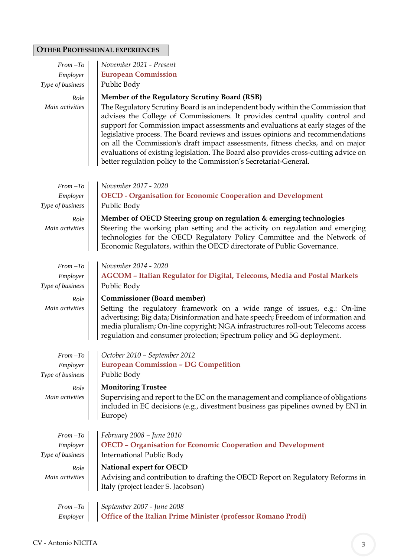# **OTHER PROFESSIONAL EXPERIENCES**

| $From -To$              | November 2021 - Present                                                                                                                                                                                                                                                                                                                                                                                                                                                                                                                                                                                                                |  |  |  |  |  |  |
|-------------------------|----------------------------------------------------------------------------------------------------------------------------------------------------------------------------------------------------------------------------------------------------------------------------------------------------------------------------------------------------------------------------------------------------------------------------------------------------------------------------------------------------------------------------------------------------------------------------------------------------------------------------------------|--|--|--|--|--|--|
| Employer                | <b>European Commission</b>                                                                                                                                                                                                                                                                                                                                                                                                                                                                                                                                                                                                             |  |  |  |  |  |  |
| Type of business        | Public Body                                                                                                                                                                                                                                                                                                                                                                                                                                                                                                                                                                                                                            |  |  |  |  |  |  |
| Role<br>Main activities | Member of the Regulatory Scrutiny Board (RSB)<br>The Regulatory Scrutiny Board is an independent body within the Commission that<br>advises the College of Commissioners. It provides central quality control and<br>support for Commission impact assessments and evaluations at early stages of the<br>legislative process. The Board reviews and issues opinions and recommendations<br>on all the Commission's draft impact assessments, fitness checks, and on major<br>evaluations of existing legislation. The Board also provides cross-cutting advice on<br>better regulation policy to the Commission's Secretariat-General. |  |  |  |  |  |  |
| $From -To$              | November 2017 - 2020                                                                                                                                                                                                                                                                                                                                                                                                                                                                                                                                                                                                                   |  |  |  |  |  |  |
| Employer                | <b>OECD - Organisation for Economic Cooperation and Development</b>                                                                                                                                                                                                                                                                                                                                                                                                                                                                                                                                                                    |  |  |  |  |  |  |
| Type of business        | Public Body                                                                                                                                                                                                                                                                                                                                                                                                                                                                                                                                                                                                                            |  |  |  |  |  |  |
| Role                    | Member of OECD Steering group on regulation & emerging technologies                                                                                                                                                                                                                                                                                                                                                                                                                                                                                                                                                                    |  |  |  |  |  |  |
| Main activities         | Steering the working plan setting and the activity on regulation and emerging<br>technologies for the OECD Regulatory Policy Committee and the Network of<br>Economic Regulators, within the OECD directorate of Public Governance.                                                                                                                                                                                                                                                                                                                                                                                                    |  |  |  |  |  |  |
| $From -To$              | November 2014 - 2020                                                                                                                                                                                                                                                                                                                                                                                                                                                                                                                                                                                                                   |  |  |  |  |  |  |
| Employer                | AGCOM - Italian Regulator for Digital, Telecoms, Media and Postal Markets                                                                                                                                                                                                                                                                                                                                                                                                                                                                                                                                                              |  |  |  |  |  |  |
| Type of business        | Public Body                                                                                                                                                                                                                                                                                                                                                                                                                                                                                                                                                                                                                            |  |  |  |  |  |  |
| Role                    | <b>Commissioner (Board member)</b>                                                                                                                                                                                                                                                                                                                                                                                                                                                                                                                                                                                                     |  |  |  |  |  |  |
| Main activities         | Setting the regulatory framework on a wide range of issues, e.g.: On-line<br>advertising; Big data; Disinformation and hate speech; Freedom of information and<br>media pluralism; On-line copyright; NGA infrastructures roll-out; Telecoms access<br>regulation and consumer protection; Spectrum policy and 5G deployment.                                                                                                                                                                                                                                                                                                          |  |  |  |  |  |  |
| $From -To$              | October 2010 - September 2012                                                                                                                                                                                                                                                                                                                                                                                                                                                                                                                                                                                                          |  |  |  |  |  |  |
| Employer                | <b>European Commission - DG Competition</b>                                                                                                                                                                                                                                                                                                                                                                                                                                                                                                                                                                                            |  |  |  |  |  |  |
| Type of business        | Public Body                                                                                                                                                                                                                                                                                                                                                                                                                                                                                                                                                                                                                            |  |  |  |  |  |  |
| Role                    | <b>Monitoring Trustee</b>                                                                                                                                                                                                                                                                                                                                                                                                                                                                                                                                                                                                              |  |  |  |  |  |  |
| Main activities         | Supervising and report to the EC on the management and compliance of obligations<br>included in EC decisions (e.g., divestment business gas pipelines owned by ENI in<br>Europe)                                                                                                                                                                                                                                                                                                                                                                                                                                                       |  |  |  |  |  |  |
| $From -To$              | February 2008 - June 2010                                                                                                                                                                                                                                                                                                                                                                                                                                                                                                                                                                                                              |  |  |  |  |  |  |
| Employer                | <b>OECD - Organisation for Economic Cooperation and Development</b>                                                                                                                                                                                                                                                                                                                                                                                                                                                                                                                                                                    |  |  |  |  |  |  |
| Type of business        | <b>International Public Body</b>                                                                                                                                                                                                                                                                                                                                                                                                                                                                                                                                                                                                       |  |  |  |  |  |  |
|                         | National expert for OECD                                                                                                                                                                                                                                                                                                                                                                                                                                                                                                                                                                                                               |  |  |  |  |  |  |
| Role<br>Main activities | Advising and contribution to drafting the OECD Report on Regulatory Reforms in<br>Italy (project leader S. Jacobson)                                                                                                                                                                                                                                                                                                                                                                                                                                                                                                                   |  |  |  |  |  |  |
|                         |                                                                                                                                                                                                                                                                                                                                                                                                                                                                                                                                                                                                                                        |  |  |  |  |  |  |
| $From\,-To\,$           | September 2007 - June 2008<br>Office of the Italian Prime Minister (professor Romano Prodi)                                                                                                                                                                                                                                                                                                                                                                                                                                                                                                                                            |  |  |  |  |  |  |
| Employer                |                                                                                                                                                                                                                                                                                                                                                                                                                                                                                                                                                                                                                                        |  |  |  |  |  |  |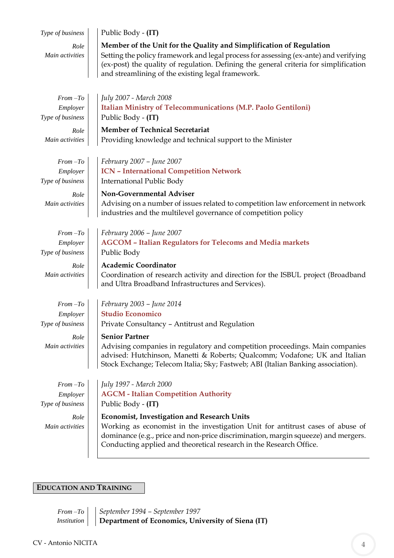| Type of business                                                      | Public Body - (IT)                                                                                                                                                                                                                                                                                                                                                                              |
|-----------------------------------------------------------------------|-------------------------------------------------------------------------------------------------------------------------------------------------------------------------------------------------------------------------------------------------------------------------------------------------------------------------------------------------------------------------------------------------|
| Role<br>Main activities                                               | Member of the Unit for the Quality and Simplification of Regulation<br>Setting the policy framework and legal process for assessing (ex-ante) and verifying<br>(ex-post) the quality of regulation. Defining the general criteria for simplification<br>and streamlining of the existing legal framework.                                                                                       |
| $From -To$<br>Employer<br>Type of business<br>Role<br>Main activities | July 2007 - March 2008<br>Italian Ministry of Telecommunications (M.P. Paolo Gentiloni)<br>Public Body - (IT)<br><b>Member of Technical Secretariat</b><br>Providing knowledge and technical support to the Minister                                                                                                                                                                            |
| $From -To$<br>Employer<br>Type of business<br>Role<br>Main activities | February 2007 - June 2007<br><b>ICN - International Competition Network</b><br><b>International Public Body</b><br>Non-Governmental Adviser<br>Advising on a number of issues related to competition law enforcement in network<br>industries and the multilevel governance of competition policy                                                                                               |
| $From -To$<br>Employer<br>Type of business<br>Role<br>Main activities | February 2006 - June 2007<br><b>AGCOM - Italian Regulators for Telecoms and Media markets</b><br>Public Body<br><b>Academic Coordinator</b><br>Coordination of research activity and direction for the ISBUL project (Broadband<br>and Ultra Broadband Infrastructures and Services).                                                                                                           |
| $From -To$<br>Employer<br>Type of business<br>Role<br>Main activities | February 2003 - June 2014<br><b>Studio Economico</b><br>Private Consultancy - Antitrust and Regulation<br><b>Senior Partner</b><br>Advising companies in regulatory and competition proceedings. Main companies<br>advised: Hutchinson, Manetti & Roberts; Qualcomm; Vodafone; UK and Italian<br>Stock Exchange; Telecom Italia; Sky; Fastweb; ABI (Italian Banking association).               |
| $From -To$<br>Employer<br>Type of business<br>Role<br>Main activities | July 1997 - March 2000<br><b>AGCM - Italian Competition Authority</b><br>Public Body - (IT)<br><b>Economist, Investigation and Research Units</b><br>Working as economist in the investigation Unit for antitrust cases of abuse of<br>dominance (e.g., price and non-price discrimination, margin squeeze) and mergers.<br>Conducting applied and theoretical research in the Research Office. |

# **EDUCATION AND TRAINING**

*From –To September 1994 – September 1997 Institution* | **| Department of Economics, University of Siena (IT)**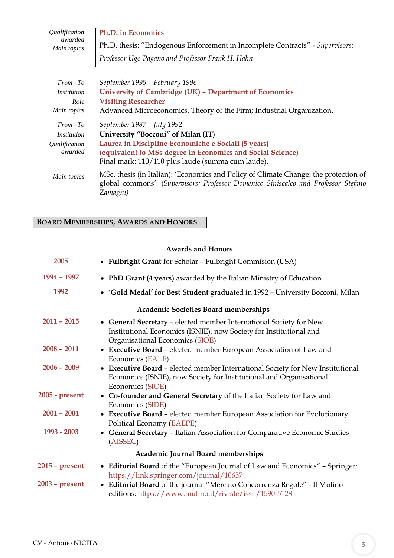| Ph.D. in Economics                                                                                                                                                                     |  |  |  |  |  |
|----------------------------------------------------------------------------------------------------------------------------------------------------------------------------------------|--|--|--|--|--|
| Ph.D. thesis: "Endogenous Enforcement in Incomplete Contracts" - Supervisors:                                                                                                          |  |  |  |  |  |
| Professor Ugo Pagano and Professor Frank H. Hahn                                                                                                                                       |  |  |  |  |  |
| September 1995 - February 1996                                                                                                                                                         |  |  |  |  |  |
| University of Cambridge (UK) - Department of Economics                                                                                                                                 |  |  |  |  |  |
| <b>Visiting Researcher</b>                                                                                                                                                             |  |  |  |  |  |
| Main topics<br>Advanced Microeconomics, Theory of the Firm; Industrial Organization.                                                                                                   |  |  |  |  |  |
| September 1987 - July 1992                                                                                                                                                             |  |  |  |  |  |
| University "Bocconi" of Milan (IT)                                                                                                                                                     |  |  |  |  |  |
| Laurea in Discipline Economiche e Sociali (5 years)                                                                                                                                    |  |  |  |  |  |
| (equivalent to MSs degree in Economics and Social Science)                                                                                                                             |  |  |  |  |  |
| Final mark: 110/110 plus laude (summa cum laude).                                                                                                                                      |  |  |  |  |  |
| MSc. thesis (in Italian): 'Economics and Policy of Climate Change: the protection of<br>global commons'. (Supervisors: Professor Domenico Siniscalco and Professor Stefano<br>Zamagni) |  |  |  |  |  |
|                                                                                                                                                                                        |  |  |  |  |  |

## **BOARD MEMBERSHIPS, AWARDS AND HONORS**

| <b>Awards and Honors</b>                    |                                                                                                                  |  |  |  |  |  |
|---------------------------------------------|------------------------------------------------------------------------------------------------------------------|--|--|--|--|--|
| 2005                                        | Fulbright Grant for Scholar - Fulbright Commision (USA)<br>$\bullet$                                             |  |  |  |  |  |
| 1994 - 1997                                 | • PhD Grant (4 years) awarded by the Italian Ministry of Education                                               |  |  |  |  |  |
| 1992                                        | • 'Gold Medal' for Best Student graduated in 1992 - University Bocconi, Milan                                    |  |  |  |  |  |
| <b>Academic Societies Board memberships</b> |                                                                                                                  |  |  |  |  |  |
| $2011 - 2015$                               | • General Secretary - elected member International Society for New                                               |  |  |  |  |  |
|                                             | Institutional Economics (ISNIE), now Society for Institutional and                                               |  |  |  |  |  |
| $2008 - 2011$                               | Organisational Economics (SIOE)<br>Executive Board - elected member European Association of Law and<br>$\bullet$ |  |  |  |  |  |
|                                             | Economics (EALE)                                                                                                 |  |  |  |  |  |
| $2006 - 2009$                               | <b>Executive Board - elected member International Society for New Institutional</b>                              |  |  |  |  |  |
|                                             | Economics (ISNIE), now Society for Institutional and Organisational                                              |  |  |  |  |  |
|                                             | Economics (SIOE)                                                                                                 |  |  |  |  |  |
| 2005 - present                              | Co-founder and General Secretary of the Italian Society for Law and                                              |  |  |  |  |  |
| $2001 - 2004$                               | Economics (SIDE)<br>• Executive Board - elected member European Association for Evolutionary                     |  |  |  |  |  |
|                                             | Political Economy (EAEPE)                                                                                        |  |  |  |  |  |
| 1993 - 2003                                 | • General Secretary - Italian Association for Comparative Economic Studies                                       |  |  |  |  |  |
|                                             | (AISSEC)                                                                                                         |  |  |  |  |  |
| Academic Journal Board memberships          |                                                                                                                  |  |  |  |  |  |
| $2015$ – present                            | • Editorial Board of the "European Journal of Law and Economics" - Springer:                                     |  |  |  |  |  |
|                                             | https://link.springer.com/journal/10657                                                                          |  |  |  |  |  |
| $2003$ – present                            | Editorial Board of the journal "Mercato Concorrenza Regole" - Il Mulino<br>$\bullet$                             |  |  |  |  |  |
|                                             | editions: https://www.mulino.it/riviste/issn/1590-5128                                                           |  |  |  |  |  |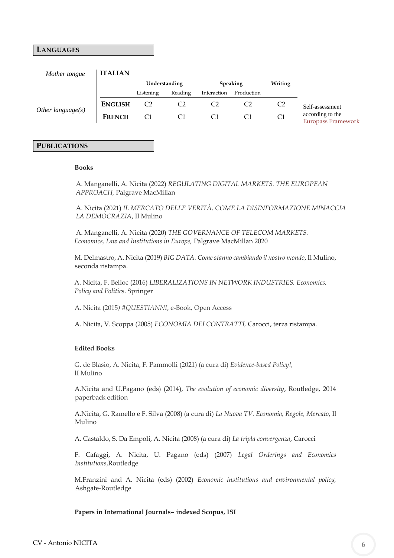### **LANGUAGES**

| Mother tongue        | <b>ITALIAN</b> |                |         |             |            |         |                 |                                        |
|----------------------|----------------|----------------|---------|-------------|------------|---------|-----------------|----------------------------------------|
|                      |                | Understanding  |         | Speaking    |            | Writing |                 |                                        |
|                      |                | Listening      | Reading | Interaction | Production |         |                 |                                        |
| Other language $(s)$ | <b>ENGLISH</b> | C <sub>2</sub> |         |             |            |         | Self-assessment |                                        |
|                      |                | <b>FRENCH</b>  | C1      |             |            |         |                 | according to the<br>Europass Framework |

## **PUBLICATIONS**

#### **Books**

 A. Manganelli, A. Nicita (2022) *REGULATING DIGITAL MARKETS. THE EUROPEAN APPROACH,* Palgrave MacMillan

 A. Nicita (2021) *IL MERCATO DELLE VERITÀ*. *COME LA DISINFORMAZIONE MINACCIA LA DEMOCRAZIA*, Il Mulino

 A. Manganelli, A. Nicita (2020) *THE GOVERNANCE OF TELECOM MARKETS. Economics, Law and Institutions in Europe,* Palgrave MacMillan 2020

M. Delmastro, A. Nicita (2019) *BIG DATA. Come stanno cambiando il nostro mondo*, Il Mulino, seconda ristampa.

 A. Nicita, F. Belloc (2016) *LIBERALIZATIONS IN NETWORK INDUSTRIES. Economics, Policy and Politics*. Springer

A. Nicita (2015*) #QUESTIANNI*, e-Book, Open Access

A. Nicita, V. Scoppa (2005) *ECONOMIA DEI CONTRATTI,* Carocci, terza ristampa.

#### **Edited Books**

G. de Blasio, A. Nicita, F. Pammolli (2021) (a cura di) *Evidence-based Policy!,* lI Mulino

A.Nicita and U.Pagano (eds) (2014), *The evolution of economic diversity*, Routledge, 2014 paperback edition

A.Nicita, G. Ramello e F. Silva (2008) (a cura di) *La Nuova TV. Economia, Regole, Mercato*, Il Mulino

A. Castaldo, S. Da Empoli, A. Nicita (2008) (a cura di) *La tripla convergenza*, Carocci

F. Cafaggi, A. Nicita, U. Pagano (eds) (2007) *Legal Orderings and Economics Institutions*,Routledge

M.Franzini and A. Nicita (eds) (2002) *Economic institutions and environmental policy,* Ashgate-Routledge

### **Papers in International Journals– indexed Scopus, ISI**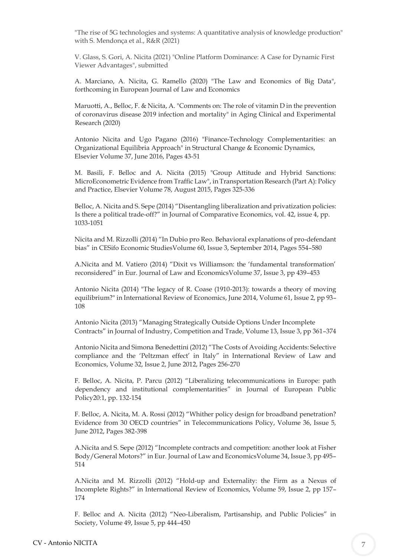"The rise of 5G technologies and systems: A quantitative analysis of knowledge production" with S. Mendonça et al., R&R (2021)

V. Glass, S. Gori, A. Nicita (2021) "Online Platform Dominance: A Case for Dynamic First Viewer Advantages", submitted

A. Marciano, A. Nicita, G. Ramello (2020) "The Law and Economics of Big Data", forthcoming in European Journal of Law and Economics

Maruotti, A., Belloc, F. & Nicita, A. "Comments on: The role of vitamin D in the prevention of coronavirus disease 2019 infection and mortality" in Aging Clinical and Experimental Research (2020)

Antonio Nicita and Ugo Pagano (2016) "Finance-Technology Complementarities: an Organizational Equilibria Approach" in Structural Change & Economic Dynamics, Elsevier Volume 37, June 2016, Pages 43-51

M. Basili, F. Belloc and A. Nicita (2015) "Group Attitude and Hybrid Sanctions: MicroEconometric Evidence from Traffic Law", in Transportation Research (Part A): Policy and Practice, Elsevier Volume 78, August 2015, Pages 325-336

Belloc, A. Nicita and S. Sepe (2014) "Disentangling liberalization and privatization policies: Is there a political trade-off?" in Journal of Comparative Economics, vol. 42, issue 4, pp. 1033-1051

Nicita and M. Rizzolli (2014) "In Dubio pro Reo. Behavioral explanations of pro-defendant bias" in CESifo Economic StudiesVolume 60, Issue 3, September 2014, Pages 554–580

A.Nicita and M. Vatiero (2014) "Dixit vs Williamson: the 'fundamental transformation' reconsidered" in Eur. Journal of Law and EconomicsVolume 37, Issue 3, pp 439–453

Antonio Nicita (2014) "The legacy of R. Coase (1910-2013): towards a theory of moving equilibrium?" in International Review of Economics, June 2014, Volume 61, Issue 2, pp 93– 108

Antonio Nicita (2013) "Managing Strategically Outside Options Under Incomplete Contracts" in Journal of Industry, Competition and Trade, Volume 13, Issue 3, pp 361–374

Antonio Nicita and Simona Benedettini (2012) "The Costs of Avoiding Accidents: Selective compliance and the 'Peltzman effect' in Italy" in International Review of Law and Economics, Volume 32, Issue 2, June 2012, Pages 256-270

F. Belloc, A. Nicita, P. Parcu (2012) "Liberalizing telecommunications in Europe: path dependency and institutional complementarities" in Journal of European Public Policy20:1, pp. 132-154

F. Belloc, A. Nicita, M. A. Rossi (2012) "Whither policy design for broadband penetration? Evidence from 30 OECD countries" in Telecommunications Policy, Volume 36, Issue 5, June 2012, Pages 382-398

A.Nicita and S. Sepe (2012) "Incomplete contracts and competition: another look at Fisher Body/General Motors?" in Eur. Journal of Law and EconomicsVolume 34, Issue 3, pp 495– 514

A.Nicita and M. Rizzolli (2012) "Hold-up and Externality: the Firm as a Nexus of Incomplete Rights?" in International Review of Economics, Volume 59, Issue 2, pp 157– 174

F. Belloc and A. Nicita (2012) "Neo-Liberalism, Partisanship, and Public Policies" in Society, Volume 49, Issue 5, pp 444–450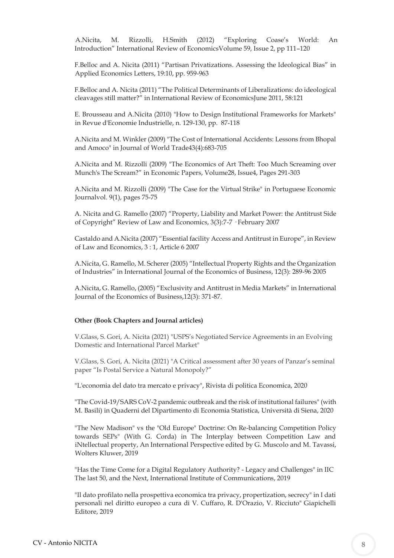A.Nicita, M. Rizzolli, H.Smith (2012) "Exploring Coase's World: An Introduction" International Review of EconomicsVolume 59, Issue 2, pp 111–120

F.Belloc and A. Nicita (2011) "Partisan Privatizations. Assessing the Ideological Bias" in Applied Economics Letters, 19:10, pp. 959-963

F.Belloc and A. Nicita (2011) "The Political Determinants of Liberalizations: do ideological cleavages still matter?" in International Review of EconomicsJune 2011, 58:121

E. Brousseau and A.Nicita (2010) "How to Design Institutional Frameworks for Markets" in Revue d'Economie Industrielle, n. 129-130, pp. 87-118

A.Nicita and M. Winkler (2009) "The Cost of International Accidents: Lessons from Bhopal and Amoco" in Journal of World Trade43(4):683-705

A.Nicita and M. Rizzolli (2009) "The Economics of Art Theft: Too Much Screaming over Munch's The Scream?" in Economic Papers, Volume28, Issue4, Pages 291-303

A.Nicita and M. Rizzolli (2009) "The Case for the Virtual Strike" in Portuguese Economic Journalvol. 9(1), pages 75-75

A. Nicita and G. Ramello (2007) "Property, Liability and Market Power: the Antitrust Side of Copyright" Review of Law and Economics, 3(3):7-7 · February 2007

Castaldo and A.Nicita (2007) "Essential facility Access and Antitrust in Europe", in Review of Law and Economics, 3 : 1, Article 6 2007

A.Nicita, G. Ramello, M. Scherer (2005) "Intellectual Property Rights and the Organization of Industries" in International Journal of the Economics of Business, 12(3): 289-96 2005

A.Nicita, G. Ramello, (2005) "Exclusivity and Antitrust in Media Markets" in International Journal of the Economics of Business,12(3): 371-87.

#### **Other (Book Chapters and Journal articles)**

V.Glass, S. Gori, A. Nicita (2021) "USPS's Negotiated Service Agreements in an Evolving Domestic and International Parcel Market"

V.Glass, S. Gori, A. Nicita (2021) "A Critical assessment after 30 years of Panzar's seminal paper "Is Postal Service a Natural Monopoly?"

"L'economia del dato tra mercato e privacy", Rivista di politica Economica, 2020

"The Covid-19/SARS CoV-2 pandemic outbreak and the risk of institutional failures" (with M. Basili) in Quaderni del Dipartimento di Economia Statistica, Università di Siena, 2020

"The New Madison" vs the "Old Europe" Doctrine: On Re-balancing Competition Policy towards SEPs" (With G. Corda) in The Interplay between Competition Law and iNtellectual property, An International Perspective edited by G. Muscolo and M. Tavassi, Wolters Kluwer, 2019

"Has the Time Come for a Digital Regulatory Authority? - Legacy and Challenges" in IIC The last 50, and the Next, International Institute of Communications, 2019

"Il dato profilato nella prospettiva economica tra privacy, propertization, secrecy" in I dati personali nel diritto europeo a cura di V. Cuffaro, R. D'Orazio, V. Ricciuto" Giapichelli Editore, 2019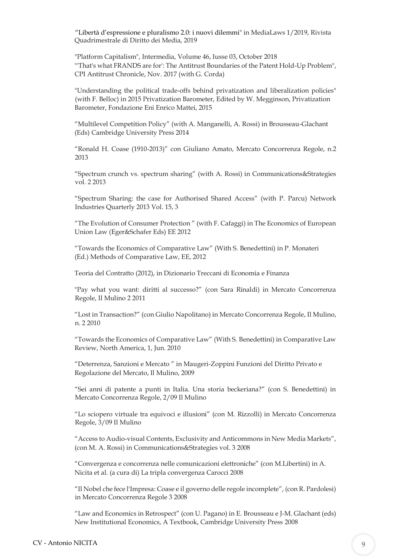"Libertà d'espressione e pluralismo 2.0: i nuovi dilem[mi"](http://www.medialaws.eu/liberta-despressione-e-pluralismo-2-0-i-nuovi-dilemmi/) in MediaLaws 1/2019, Rivista Quadrimestrale di Diritto dei Media, 2019

"Platform Capitalism", Intermedia, Volume 46, Iusse 03, October 2018 "'That's what FRANDS are for': The Antitrust Boundaries of the Patent Hold-Up Problem", CPI Antitrust Chronicle, Nov. 2017 (with G. Corda)

"Understanding the political trade-offs behind privatization and liberalization policies" (with F. Belloc) in 2015 Privatization Barometer, Edited by W. Megginson, Privatization Barometer, Fondazione Eni Enrico Mattei, 2015

"Multilevel Competition Policy" (with A. Manganelli, A. Rossi) in Brousseau-Glachant (Eds) Cambridge University Press 2014

"Ronald H. Coase (1910-2013)" con Giuliano Amato, Mercato Concorrenza Regole, n.2 2013

"Spectrum crunch vs. spectrum sharing" (with A. Rossi) in Communications&Strategies vol. 2 2013

"Spectrum Sharing: the case for Authorised Shared Access" (with P. Parcu) Network Industries Quarterly 2013 Vol. 15, 3

"The Evolution of Consumer Protection " (with F. Cafaggi) in The Economics of European Union Law (Eger&Schafer Eds) EE 2012

"Towards the Economics of Comparative Law" (With S. Benedettini) in P. Monateri (Ed.) Methods of Comparative Law, EE, 2012

Teoria del Contratto (2012), in Dizionario Treccani di Economia e Finanza

"Pay what you want: diritti al successo?" (con Sara Rinaldi) in Mercato Concorrenza Regole, Il Mulino 2 2011

"Lost in Transaction?" (con Giulio Napolitano) in Mercato Concorrenza Regole, Il Mulino, n. 2 2010

"Towards the Economics of Comparative Law" (With S. Benedettini) in Comparative Law Review, North America, 1, Jun. 2010

"Deterrenza, Sanzioni e Mercato " in Maugeri-Zoppini Funzioni del Diritto Privato e Regolazione del Mercato, Il Mulino, 2009

"Sei anni di patente a punti in Italia. Una storia beckeriana?" (con S. Benedettini) in Mercato Concorrenza Regole, 2/09 Il Mulino

"Lo sciopero virtuale tra equivoci e illusioni" (con M. Rizzolli) in Mercato Concorrenza Regole, 3/09 Il Mulino

"Access to Audio-visual Contents, Exclusivity and Anticommons in New Media Markets", (con M. A. Rossi) in Communications&Strategies vol. 3 2008

"Convergenza e concorrenza nelle comunicazioni elettroniche" (con M.Libertini) in A. Nicita et al. (a cura di) La tripla convergenza Carocci 2008

"Il Nobel che fece l'Impresa: Coase e il governo delle regole incomplete", (con R. Pardolesi) in Mercato Concorrenza Regole 3 2008

"Law and Economics in Retrospect" (con U. Pagano) in E. Brousseau e J-M. Glachant (eds) New Institutional Economics, A Textbook, Cambridge University Press 2008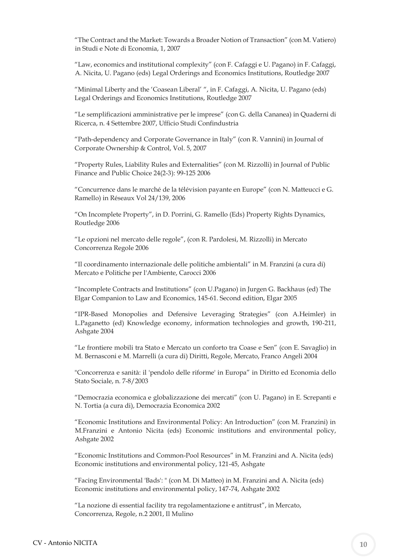"The Contract and the Market: Towards a Broader Notion of Transaction" (con M. Vatiero) in Studi e Note di Economia, 1, 2007

"Law, economics and institutional complexity" (con F. Cafaggi e U. Pagano) in F. Cafaggi, A. Nicita, U. Pagano (eds) Legal Orderings and Economics Institutions, Routledge 2007

"Minimal Liberty and the 'Coasean Liberal' ", in F. Cafaggi, A. Nicita, U. Pagano (eds) Legal Orderings and Economics Institutions, Routledge 2007

"Le semplificazioni amministrative per le imprese" (con G. della Cananea) in Quaderni di Ricerca, n. 4 Settembre 2007, Ufficio Studi Confindustria

"Path-dependency and Corporate Governance in Italy" (con R. Vannini) in Journal of Corporate Ownership & Control, Vol. 5, 2007

"Property Rules, Liability Rules and Externalities" (con M. Rizzolli) in Journal of Public Finance and Public Choice 24(2-3): 99-125 2006

"Concurrence dans le marché de la télévision payante en Europe" (con N. Matteucci e G. Ramello) in Réseaux Vol 24/139, 2006

"On Incomplete Property", in D. Porrini, G. Ramello (Eds) Property Rights Dynamics, Routledge 2006

"Le opzioni nel mercato delle regole", (con R. Pardolesi, M. Rizzolli) in Mercato Concorrenza Regole 2006

"Il coordinamento internazionale delle politiche ambientali" in M. Franzini (a cura di) Mercato e Politiche per l'Ambiente, Carocci 2006

"Incomplete Contracts and Institutions" (con U.Pagano) in Jurgen G. Backhaus (ed) The Elgar Companion to Law and Economics, 145-61. Second edition, Elgar 2005

"IPR-Based Monopolies and Defensive Leveraging Strategies" (con A.Heimler) in L.Paganetto (ed) Knowledge economy, information technologies and growth, 190-211, Ashgate 2004

"Le frontiere mobili tra Stato e Mercato un conforto tra Coase e Sen" (con E. Savaglio) in M. Bernasconi e M. Marrelli (a cura di) Diritti, Regole, Mercato, Franco Angeli 2004

"Concorrenza e sanità: il 'pendolo delle riforme' in Europa" in Diritto ed Economia dello Stato Sociale, n. 7-8/2003

"Democrazia economica e globalizzazione dei mercati" (con U. Pagano) in E. Screpanti e N. Tortia (a cura di), Democrazia Economica 2002

"Economic Institutions and Environmental Policy: An Introduction" (con M. Franzini) in M.Franzini e Antonio Nicita (eds) Economic institutions and environmental policy, Ashgate 2002

"Economic Institutions and Common-Pool Resources" in M. Franzini and A. Nicita (eds) Economic institutions and environmental policy, 121-45, Ashgate

"Facing Environmental 'Bads': " (con M. Di Matteo) in M. Franzini and A. Nicita (eds) Economic institutions and environmental policy, 147-74, Ashgate 2002

"La nozione di essential facility tra regolamentazione e antitrust", in Mercato, Concorrenza, Regole, n.2 2001, Il Mulino